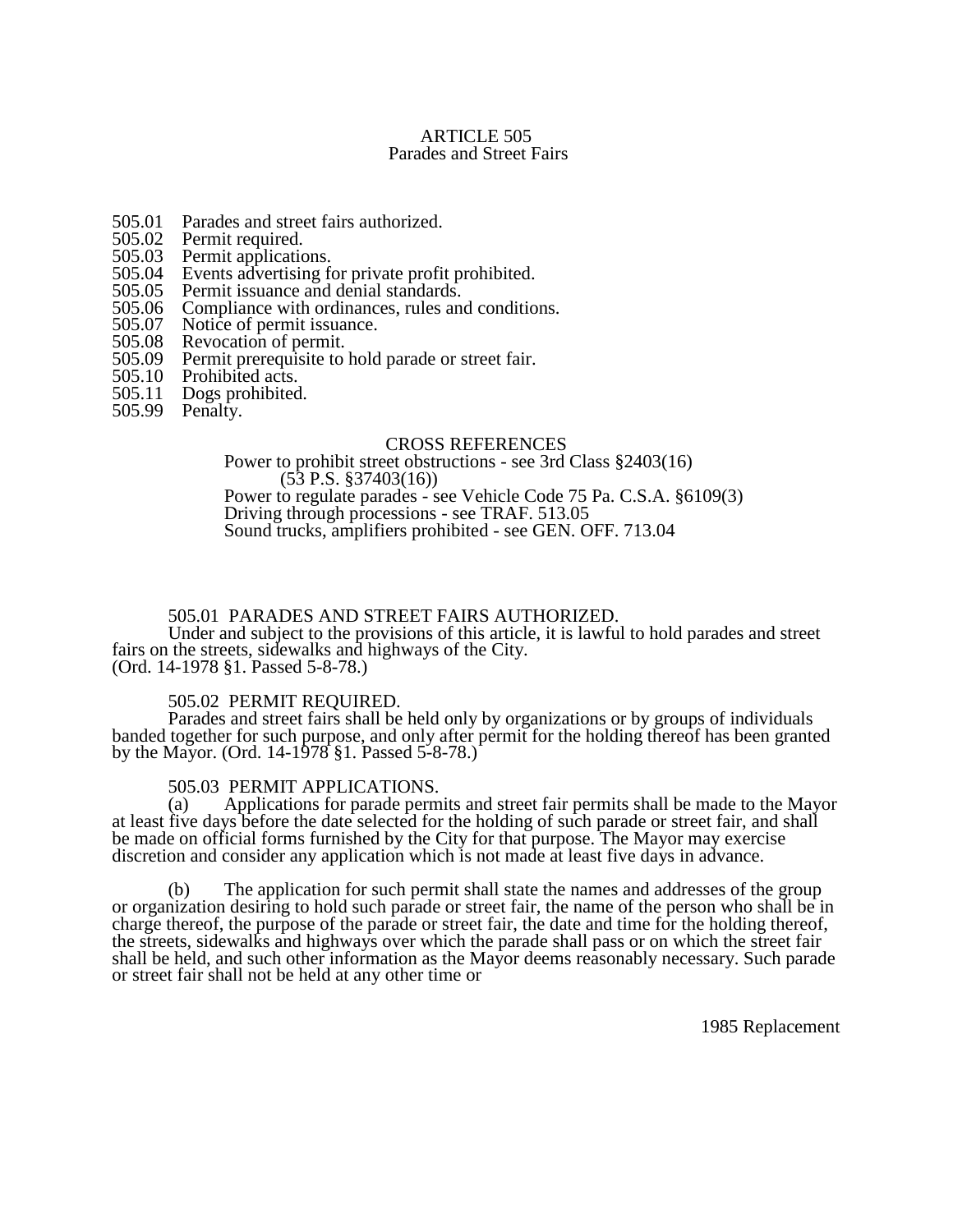### ARTICLE 505 Parades and Street Fairs

- 505.01 Parades and street fairs authorized.<br>505.02 Permit required.
- 505.02 Permit required.<br>505.03 Permit application
- 505.03 Permit applications.<br>505.04 Events advertising fo
- 505.04 Events advertising for private profit prohibited.<br>505.05 Permit issuance and denial standards.
- 505.05 Permit issuance and denial standards.<br>505.06 Compliance with ordinances, rules an
- 505.06 Compliance with ordinances, rules and conditions.<br>505.07 Notice of permit issuance.
- 505.07 Notice of permit issuance.<br>505.08 Revocation of permit.
- 505.08 Revocation of permit.<br>505.09 Permit prerequisite to
- 505.09 Permit prerequisite to hold parade or street fair.<br>505.10 Prohibited acts.
- 
- 505.10 Prohibited acts.<br>505.11 Dogs prohibited Dogs prohibited.
- 505.99 Penalty.

#### CROSS REFERENCES

Power to prohibit street obstructions - see 3rd Class §2403(16) (53 P.S. §37403(16)) Power to regulate parades - see Vehicle Code 75 Pa. C.S.A. §6109(3) Driving through processions - see TRAF. 513.05 Sound trucks, amplifiers prohibited - see GEN. OFF. 713.04

### 505.01 PARADES AND STREET FAIRS AUTHORIZED.

Under and subject to the provisions of this article, it is lawful to hold parades and street fairs on the streets, sidewalks and highways of the City.

(Ord. 14-1978 §1. Passed 5-8-78.)

## 505.02 PERMIT REQUIRED.

Parades and street fairs shall be held only by organizations or by groups of individuals banded together for such purpose, and only after permit for the holding thereof has been granted by the Mayor. (Ord. 14-1978 §1. Passed 5-8-78.)

#### 505.03 PERMIT APPLICATIONS.

(a) Applications for parade permits and street fair permits shall be made to the Mayor at least five days before the date selected for the holding of such parade or street fair, and shall be made on official forms furnished by the City for that purpose. The Mayor may exercise discretion and consider any application which is not made at least five days in advance.

(b) The application for such permit shall state the names and addresses of the group or organization desiring to hold such parade or street fair, the name of the person who shall be in charge thereof, the purpose of the parade or street fair, the date and time for the holding thereof, the streets, sidewalks and highways over which the parade shall pass or on which the street fair shall be held, and such other information as the Mayor deems reasonably necessary. Such parade or street fair shall not be held at any other time or

1985 Replacement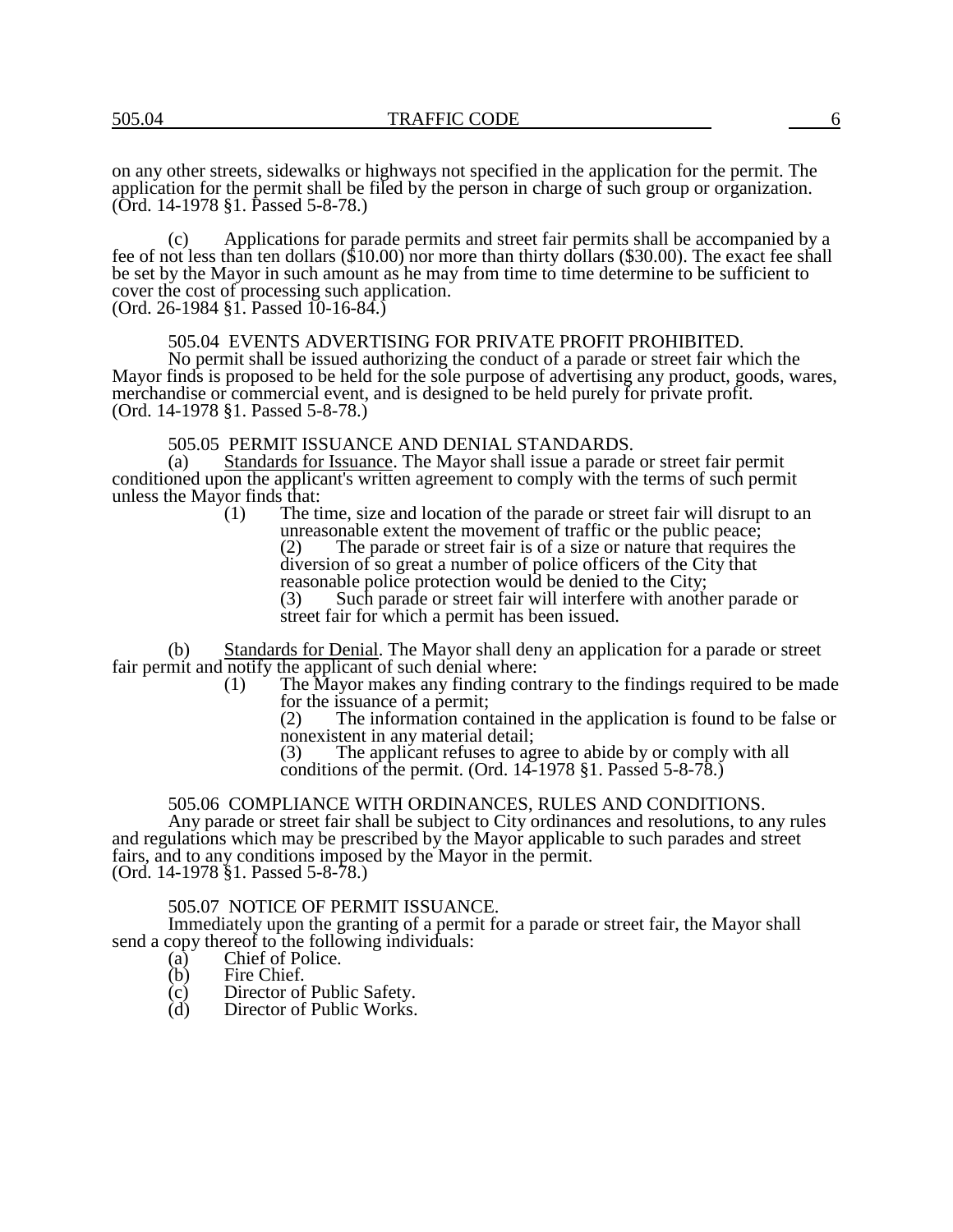on any other streets, sidewalks or highways not specified in the application for the permit. The application for the permit shall be filed by the person in charge of such group or organization. (Ord. 14-1978 §1. Passed 5-8-78.)

(c) Applications for parade permits and street fair permits shall be accompanied by a fee of not less than ten dollars (\$10.00) nor more than thirty dollars (\$30.00). The exact fee shall be set by the Mayor in such amount as he may from time to time determine to be sufficient to cover the cost of processing such application. (Ord. 26-1984 §1. Passed 10-16-84.)

#### 505.04 EVENTS ADVERTISING FOR PRIVATE PROFIT PROHIBITED.

No permit shall be issued authorizing the conduct of a parade or street fair which the Mayor finds is proposed to be held for the sole purpose of advertising any product, goods, wares, merchandise or commercial event, and is designed to be held purely for private profit. (Ord. 14-1978 §1. Passed 5-8-78.)

# 505.05 PERMIT ISSUANCE AND DENIAL STANDARDS.<br>(a) Standards for Issuance. The Mayor shall issue a parade

Standards for Issuance. The Mayor shall issue a parade or street fair permit conditioned upon the applicant's written agreement to comply with the terms of such permit unless the Mayor finds that:<br>(1) The ti

The time, size and location of the parade or street fair will disrupt to an unreasonable extent the movement of traffic or the public peace;<br>(2) The parade or street fair is of a size or nature that requires The parade or street fair is of a size or nature that requires the

diversion of so great a number of police officers of the City that reasonable police protection would be denied to the City;

(3) Such parade or street fair will interfere with another parade or street fair for which a permit has been issued.

(b) Standards for Denial. The Mayor shall deny an application for a parade or street fair permit and notify the applicant of such denial where:

- (1) The Mayor makes any finding contrary to the findings required to be made for the issuance of a permit;
	- (2) The information contained in the application is found to be false or nonexistent in any material detail;<br>(3) The applicant refuses to age

The applicant refuses to agree to abide by or comply with all conditions of the permit. (Ord. 14-1978 §1. Passed 5-8-78.)

## 505.06 COMPLIANCE WITH ORDINANCES, RULES AND CONDITIONS.

Any parade or street fair shall be subject to City ordinances and resolutions, to any rules and regulations which may be prescribed by the Mayor applicable to such parades and street fairs, and to any conditions imposed by the Mayor in the permit. (Ord. 14-1978 §1. Passed 5-8-78.)

#### 505.07 NOTICE OF PERMIT ISSUANCE.

Immediately upon the granting of a permit for a parade or street fair, the Mayor shall send a copy thereof to the following individuals:

- (a) Chief of Police.<br>
(b) Fire Chief.
- Fire Chief.
- (c) Director of Public Safety.
- (d) Director of Public Works.